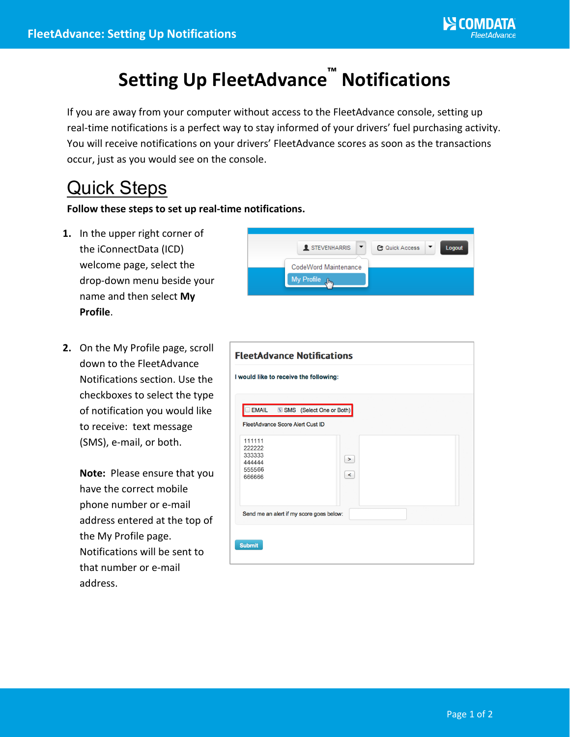## **Setting Up FleetAdvance™ Notifications**

If you are away from your computer without access to the FleetAdvance console, setting up real-time notifications is a perfect way to stay informed of your drivers' fuel purchasing activity. You will receive notifications on your drivers' FleetAdvance scores as soon as the transactions occur, just as you would see on the console.

## Quick Steps

## **Follow these steps to set up real-time notifications.**

- **1.** In the upper right corner of the iConnectData (ICD) welcome page, select the drop-down menu beside your name and then select **My Profile**.
- **2.** On the My Profile page, scroll down to the FleetAdvance Notifications section. Use the checkboxes to select the type of notification you would like to receive: text message (SMS), e-mail, or both.

**Note:** Please ensure that you have the correct mobile phone number or e-mail address entered at the top of the My Profile page. Notifications will be sent to that number or e-mail address.



| I would like to receive the following:                   |                          |  |
|----------------------------------------------------------|--------------------------|--|
| EMAIL <b>WISMS</b> (Select One or Both)                  |                          |  |
| FleetAdvance Score Alert Cust ID                         |                          |  |
| 111111<br>222222<br>333333<br>444444<br>555566<br>666666 | $\rightarrow$<br>$\prec$ |  |
| Send me an alert if my score goes below:                 |                          |  |